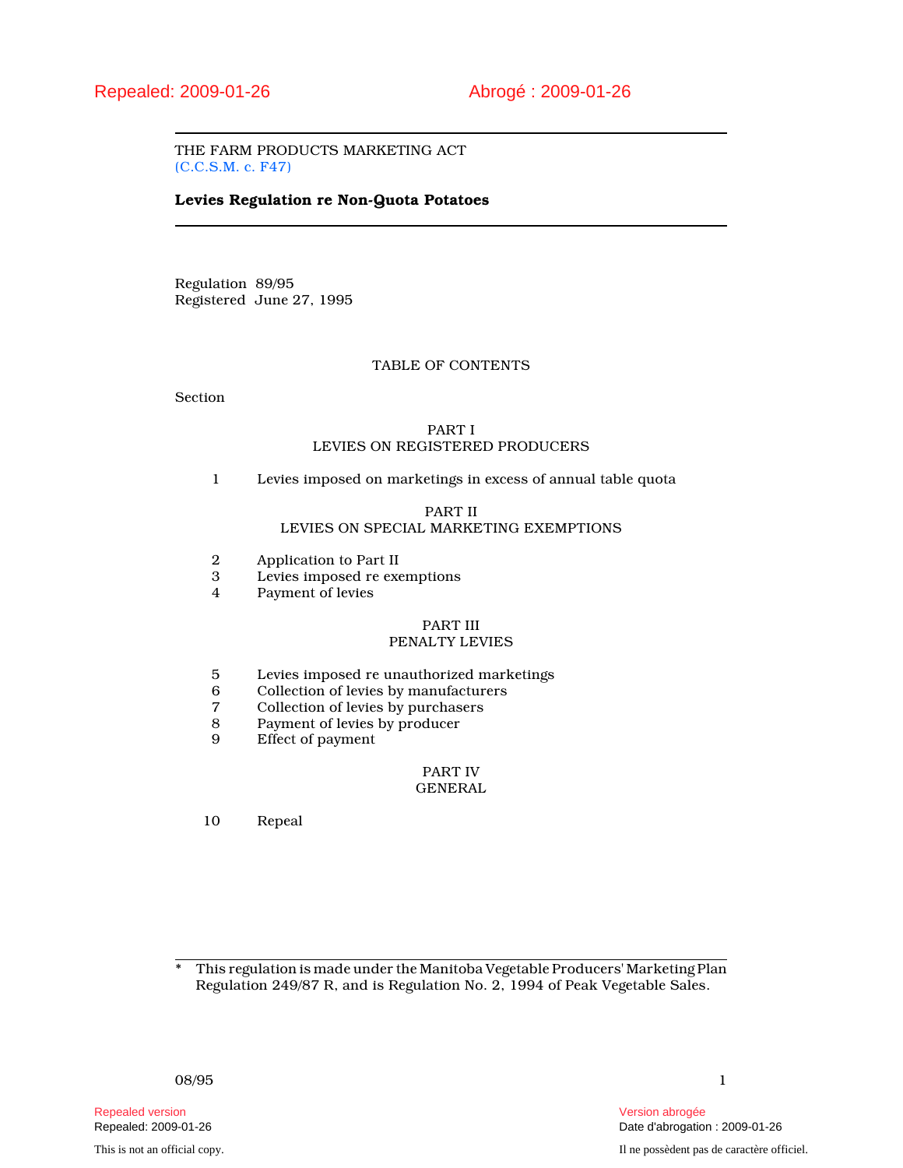THE FARM PRODUCTS MARKETING ACT (C.C.S.M. c. F47)

### Levies Regulation re Non-Quota Potatoes

Regulation 89/95 Registered June 27, 1995

### TABLE OF CONTENTS

Section

## PART I LEVIES ON REGISTERED PRODUCERS

1 Levies imposed on marketings in excess of annual table quota

### PART II

# LEVIES ON SPECIAL MARKETING EXEMPTIONS

- 2 Application to Part II<br>3 Levies imposed re exe
- 3 Levies imposed re exemptions
- Payment of levies

#### PART III

# PENALTY LEVIES

- 5 Levies imposed re unauthorized marketings<br>6 Collection of levies by manufacturers
- 6 Collection of levies by manufacturers
- 7 Collection of levies by purchasers<br>8 Payment of levies by producer
- 8 Payment of levies by producer<br>9 Effect of payment
- Effect of payment

#### PART IV GENERAL

10 Repeal

\* This regulation is made under the Manitoba Vegetable Producers' Marketing Plan Regulation 249/87 R, and is Regulation No. 2, 1994 of Peak Vegetable Sales.

Repealed version Version abrogée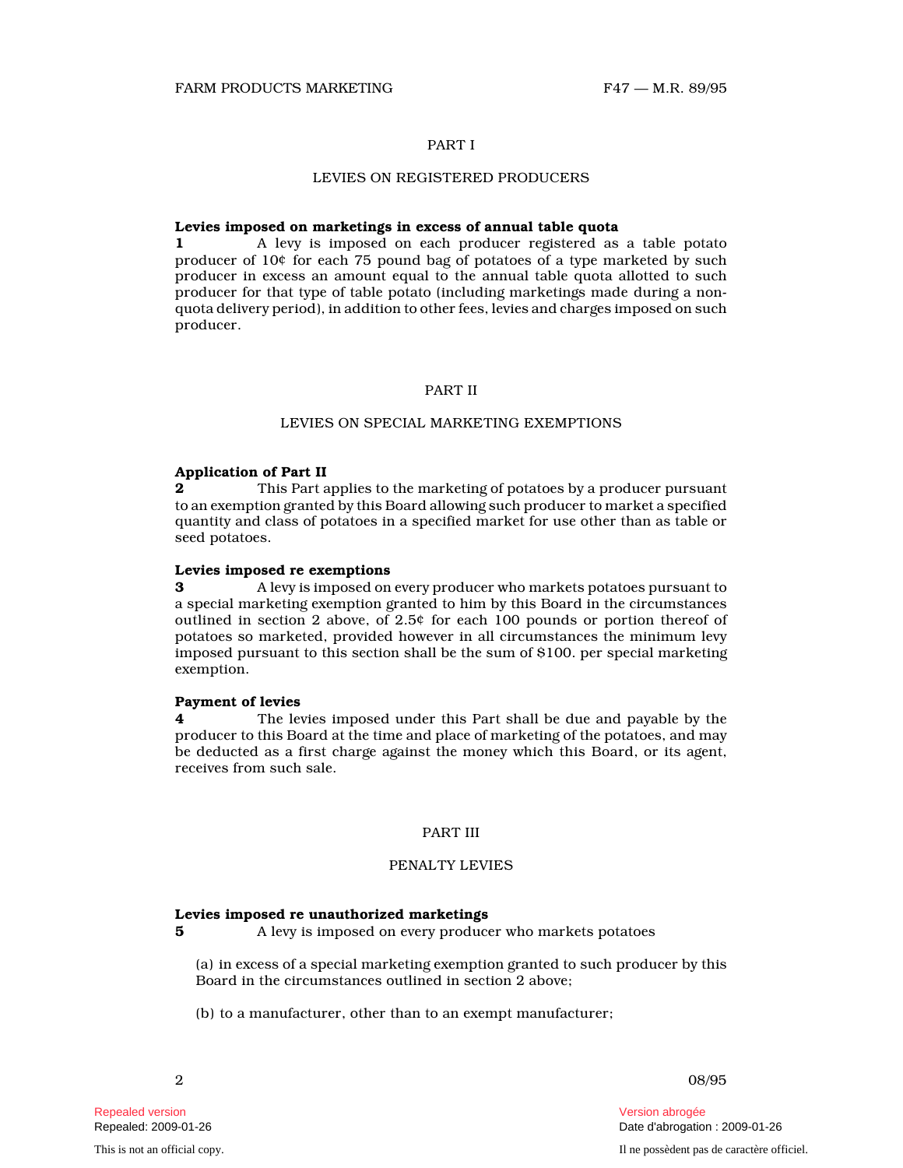### PART I

### LEVIES ON REGISTERED PRODUCERS

### Levies imposed on marketings in excess of annual table quota

1 A levy is imposed on each producer registered as a table potato producer of 10¢ for each 75 pound bag of potatoes of a type marketed by such producer in excess an amount equal to the annual table quota allotted to such producer for that type of table potato (including marketings made during a nonquota delivery period), in addition to other fees, levies and charges imposed on such producer.

### PART II

### LEVIES ON SPECIAL MARKETING EXEMPTIONS

#### Application of Part II

**2** This Part applies to the marketing of potatoes by a producer pursuant to an exemption granted by this Board allowing such producer to market a specified quantity and class of potatoes in a specified market for use other than as table or seed potatoes.

#### Levies imposed re exemptions

3 A levy is imposed on every producer who markets potatoes pursuant to a special marketing exemption granted to him by this Board in the circumstances outlined in section 2 above, of 2.5¢ for each 100 pounds or portion thereof of potatoes so marketed, provided however in all circumstances the minimum levy imposed pursuant to this section shall be the sum of \$100. per special marketing exemption.

#### Payment of levies

4 The levies imposed under this Part shall be due and payable by the producer to this Board at the time and place of marketing of the potatoes, and may be deducted as a first charge against the money which this Board, or its agent, receives from such sale.

### PART III

#### PENALTY LEVIES

### Levies imposed re unauthorized marketings

5 A levy is imposed on every producer who markets potatoes

(a) in excess of a special marketing exemption granted to such producer by this Board in the circumstances outlined in section 2 above;

(b) to a manufacturer, other than to an exempt manufacturer;

Repealed version Version abrogée

2 08/95

Repealed: 2009-01-26 Date d'abrogation : 2009-01-26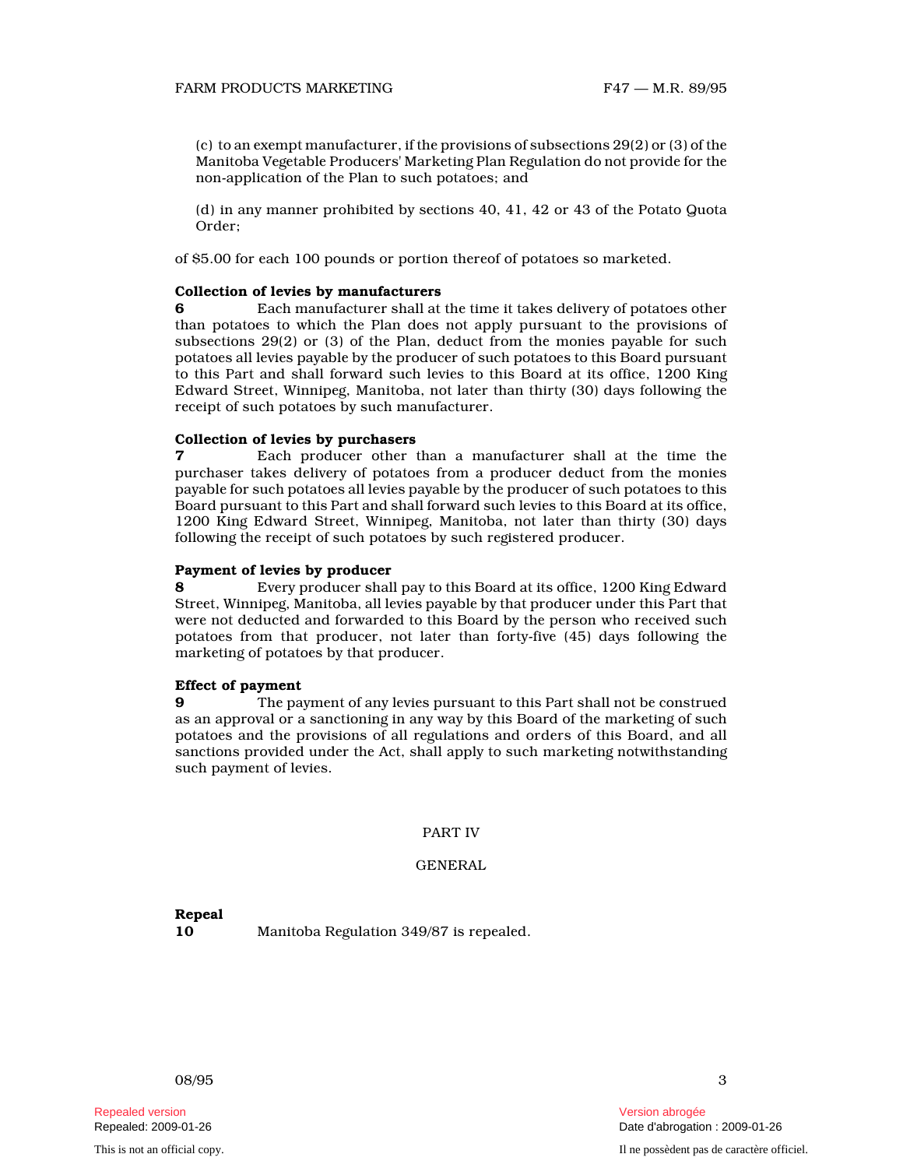(c) to an exempt manufacturer, if the provisions of subsections 29(2) or (3) of the Manitoba Vegetable Producers' Marketing Plan Regulation do not provide for the non-application of the Plan to such potatoes; and

(d) in any manner prohibited by sections 40, 41, 42 or 43 of the Potato Quota Order;

of \$5.00 for each 100 pounds or portion thereof of potatoes so marketed.

#### Collection of levies by manufacturers

6 Each manufacturer shall at the time it takes delivery of potatoes other than potatoes to which the Plan does not apply pursuant to the provisions of subsections 29(2) or (3) of the Plan, deduct from the monies payable for such potatoes all levies payable by the producer of such potatoes to this Board pursuant to this Part and shall forward such levies to this Board at its office, 1200 King Edward Street, Winnipeg, Manitoba, not later than thirty (30) days following the receipt of such potatoes by such manufacturer.

#### Collection of levies by purchasers

7 Each producer other than a manufacturer shall at the time the purchaser takes delivery of potatoes from a producer deduct from the monies payable for such potatoes all levies payable by the producer of such potatoes to this Board pursuant to this Part and shall forward such levies to this Board at its office, 1200 King Edward Street, Winnipeg, Manitoba, not later than thirty (30) days following the receipt of such potatoes by such registered producer.

#### Payment of levies by producer

8 Every producer shall pay to this Board at its office, 1200 King Edward Street, Winnipeg, Manitoba, all levies payable by that producer under this Part that were not deducted and forwarded to this Board by the person who received such potatoes from that producer, not later than forty-five (45) days following the marketing of potatoes by that producer.

### Effect of payment

9 The payment of any levies pursuant to this Part shall not be construed as an approval or a sanctioning in any way by this Board of the marketing of such potatoes and the provisions of all regulations and orders of this Board, and all sanctions provided under the Act, shall apply to such marketing notwithstanding such payment of levies.

### PART IV

### GENERAL

Repeal

10 Manitoba Regulation 349/87 is repealed.

Repealed version Version abrogée

This is not an official copy. Il ne possèdent pas de caractère officiel.